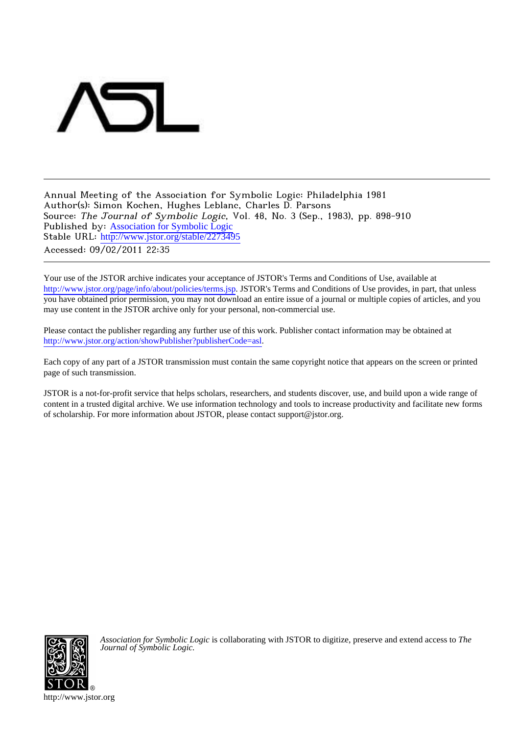

Annual Meeting of the Association for Symbolic Logic: Philadelphia 1981 Author(s): Simon Kochen, Hughes Leblanc, Charles D. Parsons Source: The Journal of Symbolic Logic, Vol. 48, No. 3 (Sep., 1983), pp. 898-910 Published by: [Association for Symbolic Logic](http://www.jstor.org/action/showPublisher?publisherCode=asl) Stable URL: [http://www.jstor.org/stable/2273495](http://www.jstor.org/stable/2273495?origin=JSTOR-pdf) Accessed: 09/02/2011 22:35

Your use of the JSTOR archive indicates your acceptance of JSTOR's Terms and Conditions of Use, available at <http://www.jstor.org/page/info/about/policies/terms.jsp>. JSTOR's Terms and Conditions of Use provides, in part, that unless you have obtained prior permission, you may not download an entire issue of a journal or multiple copies of articles, and you may use content in the JSTOR archive only for your personal, non-commercial use.

Please contact the publisher regarding any further use of this work. Publisher contact information may be obtained at <http://www.jstor.org/action/showPublisher?publisherCode=asl>.

Each copy of any part of a JSTOR transmission must contain the same copyright notice that appears on the screen or printed page of such transmission.

JSTOR is a not-for-profit service that helps scholars, researchers, and students discover, use, and build upon a wide range of content in a trusted digital archive. We use information technology and tools to increase productivity and facilitate new forms of scholarship. For more information about JSTOR, please contact support@jstor.org.



*Association for Symbolic Logic* is collaborating with JSTOR to digitize, preserve and extend access to *The Journal of Symbolic Logic.*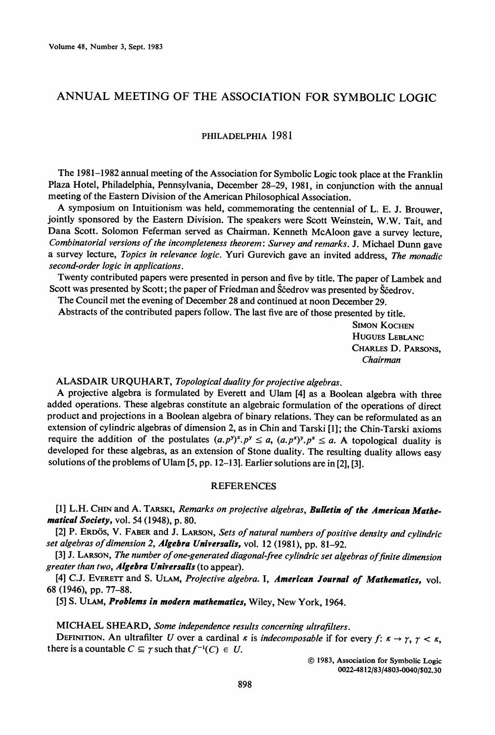# **ANNUAL MEETING OF THE ASSOCIATION FOR SYMBOLIC LOGIC**

# **PHILADELPHIA 1981**

**The 1981-1982 annual meeting of the Association for Symbolic Logic took place at the Franklin Plaza Hotel, Philadelphia, Pennsylvania, December 28-29, 1981, in conjunction with the annual meeting of the Eastern Division of the American Philosophical Association.** 

**A symposium on Intuitionism was held, commemorating the centennial of L. E. J. Brouwer, jointly sponsored by the Eastern Division. The speakers were Scott Weinstein, W.W. Tait, and Dana Scott. Solomon Feferman served as Chairman. Kenneth McAloon gave a survey lecture, Combinatorial versions of the incompleteness theorem: Survey and remarks. J. Michael Dunn gave a survey lecture, Topics in relevance logic. Yuri Gurevich gave an invited address, The monadic second-order logic in applications.** 

**Twenty contributed papers were presented in person and five by title. The paper of Lambek and**  Scott was presented by Scott; the paper of Friedman and Scedrov was presented by Scedrov.

**The Council met the evening of December 28 and continued at noon December 29.** 

**Abstracts of the contributed papers follow. The last five are of those presented by title.** 

**SIMON KOCHEN HUGUES LEBLANC CHARLES D. PARSONS, Chairman** 

# **ALASDAIR URQUHART, Topological duality for projective algebras.**

**A projective algebra is formulated by Everett and Ulam [4] as a Boolean algebra with three added operations. These algebras constitute an algebraic formulation of the operations of direct product and projections in a Boolean algebra of binary relations. They can be reformulated as an extension of cylindric algebras of dimension 2, as in Chin and Tarski [1]; the Chin-Tarski axioms require the addition of the postulates**  $(a, p^y)^x$ **.**  $p^y \le a$ ,  $(a, p^x)^y$ .  $p^x \le a$ . A topological duality is **developed for these algebras, as an extension of Stone duality. The resulting duality allows easy solutions of the problems of Ulam [5, pp. 12-131. Earlier solutions are in [2], [3].** 

# **REFERENCES**

**[1] L.H. CHIN and A. TARSKI, Remarks on projective algebras, Bulletin of the American Mathematical Society, vol. 54 (1948), p. 80.** 

**[2] P. ERD6S, V. FABER and J. LARSON, Sets of natural numbers of positive density and cylindric set algebras of dimension 2, Algebra Universalis, vol. 12 (1981), pp. 81-92.** 

[3] J. LARSON, The number of one-generated diagonal-free cylindric set algebras of finite dimension **greater than two, Algebra Universalis (to appear).** 

**[4] C.J. EVERETr and S. ULAM, Projective algebra. I, American Journal of Mathematics, vol. 68 (1946), pp. 77-88.** 

**[5] S. ULAM, Problems in modern mathematics, Wiley, New York, 1964.** 

**MICHAEL SHEARD, Some independence results concerning ultrafilters.** 

**DEFINITION.** An ultrafilter U over a cardinal  $\kappa$  is *indecomposable* if for every  $f: \kappa \to \gamma, \gamma < \kappa$ , **there is a countable**  $C \subseteq \gamma$  **such that**  $f^{-1}(C) \in U$ **.** 

> **? 1983, Association for Symbolic Logic 0022-4812/83/4803-0040/\$02.30**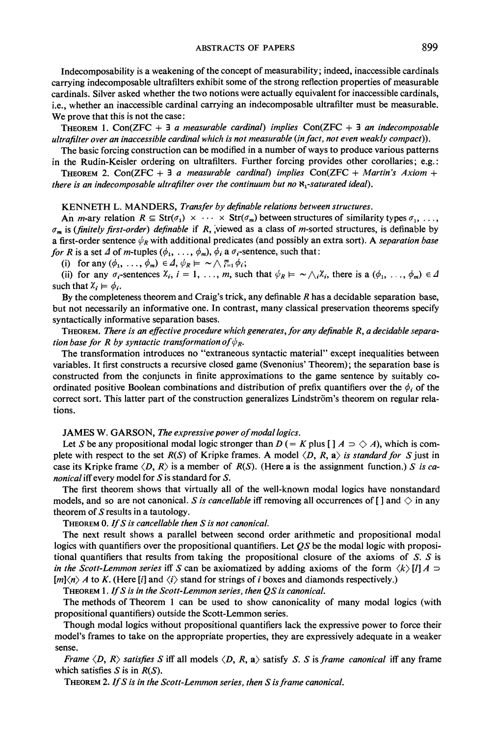Indecomposability is a weakening of the concept of measurability; indeed, inaccessible cardinals carrying indecomposable ultrafilters exhibit some of the strong reflection properties of measurable cardinals. Silver asked whether the two notions were actually equivalent for inaccessible cardinals, i.e., whether an inaccessible cardinal carrying an indecomposable ultrafilter must be measurable. We prove that this is not the case:

**THEOREM 1. CONCARTLER 4 a** measurable cardinal) implies  $Con(ZFC + 3$  an indecomposable **HEOREM 1. COILLET**  $\mathbf{C} + \mathbf{B} \cdot \mathbf{u}$ *Tajlier over an inaccessiole cardinal which is not measurable (in fact, not even weakly compact)).* 

The basic forcing construction can be modified in a number of ways to produce various patterns in the Rudin-Keisler ordering on ultrafilters. Further forcing provides other corollaries; e.g.:

**THEOREM 2. Con(ZFC + 3 a measurable cardinal) implies Con(ZFC + Martin's Axiom +** *there is an indecomposable ultrafilter over the continuum but no*  $\aleph_1$ *-saturated ideal***).** 

**KENNETH L. MANDERS, Transfer by definable relations between structures.** 

An *m*-ary relation  $R \subseteq Str(\sigma_1) \times \cdots \times Str(\sigma_m)$  between structures of similarity types  $\sigma_1, \ldots$ ,  $\sigma_m$  is (finitely first-order) definable if R, viewed as a class of m-sorted structures, is definable by **a** first-order sentence  $\psi_R$  with additional predicates (and possibly an extra sort). A *separation base for**R* **is a set**  $\Delta$  **of** *m***-tuples (** $\phi_1, \ldots, \phi_m$ **),**  $\phi_i$  **a**  $\sigma_i$ **-sentence, such that:<br>(i) for any (** $\phi_1, \ldots, \phi_m$ **)**  $\in \Delta$ **,**  $\phi_R \models \sim \bigwedge_{i=1}^m \phi_i$ **;** 

**for a for any**  $(\varphi_1, \ldots, \varphi_m) \in \mathbb{Z}$ ,  $\varphi_R \in \sim / \sqrt{\frac{1}{2}} \times \varphi_i$ <br> **(ii) for any**  $\sigma_i$ -sentences  $\chi_i$ ,  $i = 1, \ldots, m$ , such that  $\varphi_R \in \sim / \sqrt{\frac{1}{2}} \times \mathbb{Z}$ such that  $\chi_i \vDash \phi_i$ .<br>**By** the completeness theorem and Craig's trick, any definable R has a decidable separation base,

**s b p unc comple** t not necessarily an informative one. In contrast, many classical preservation theorems specify **but informative separation bases.** In contrast, many classical preservation of the preservation of the specify of the specify  $\mathbf{r}$  and  $\mathbf{r}$  and  $\mathbf{r}$  and  $\mathbf{r}$  and  $\mathbf{r}$  and  $\mathbf{r}$  and  $\mathbf{r}$  and  $\mathbf$ 

**symbol intervalse is an eyecuve procedure Theorem. There** is an effective procedure in the procedure which generates is a decided by  $\mathbf{r}_R$ .

**the transformation introduces no** extraneou variables. It first constructs a recursive closed game (Svenonius' Theorem); the separation base is constructed from the conjuncts in finite approximations to the game sentence by suitably coordinated positive Boolean combinations and distribution of prefix quantifiers over the  $\phi_i$  of the correct sort. This latter part of the construction generalizes Lindström's theorem on regular relations. **correct sort. This latter part of the construction generalizes Lindstr6m's theorem on regular rela-**

#### **JAMES W. GARSON, The expressive power of modal logics.**

Let S be any propositional modal logic stronger than  $D (= K$  plus  $[] A \supset \bigcirc A$ , which is complete with respect to the set  $R(S)$  of Kripke frames. A model  $\langle D, R, a \rangle$  is standard for S just in case its Kripke frame  $\langle D, R \rangle$  is a member of  $R(S)$ . (Here a is the assignment function.) *S* is cannonical iff every model for *S* is standard for *S*. *conical* **in every model for S is standard for S. (Here as is the assignment of R(S). The assignment function**  $\mathbf{S}$ **.** 

**nonical incremental incremental for S. is standard for S. is standard for S. i** models, and so are not canonical. S is cancellable iff removing all occurrences of  $[]$  and  $\Diamond$  in any **theorem of S results in a tautology.** 

**THEOREM 0.** If  $S$  is cancellable then  $S$  is not canonical.

The next result shows a parallel between second order arithmetic and propositional modal logics with quantifiers over the propositional quantifiers. Let  $\mathcal{Q}S$  be the modal logic with proposi**logical discuss that results from taking the propositional closure of the axioms of S. S is** in the Scott-Lemmon series iff S can be axiomatized by adding axioms of the form  $\langle k \rangle$  [*l*]  $\rightarrow$  $[m]\langle n \rangle$  A to K. (Here [i] and  $\langle i \rangle$  stand for strings of i boxes and diamonds respectively.)

**THEOREM 1. If S is in the Scott-Lemmon series, then QS is canonical.** 

The methods of Theorem 1 can be used to show canonicality of many modal logics (with propositional quantifiers) outside the Scott-Lemmon series.

Though modal logics without propositional quantifiers lack the expressive power to force their model's frames to take on the appropriate properties, they are expressively adequate in a weaker sense. **model's frames to take on the appropriate properties, they are expressively adequate in a weaker** 

**sense.**  which satisfies  $S$  is in  $R(S)$ .

THEOREM 2. If S is in the Scott-Lemmon series, then S is frame canonical.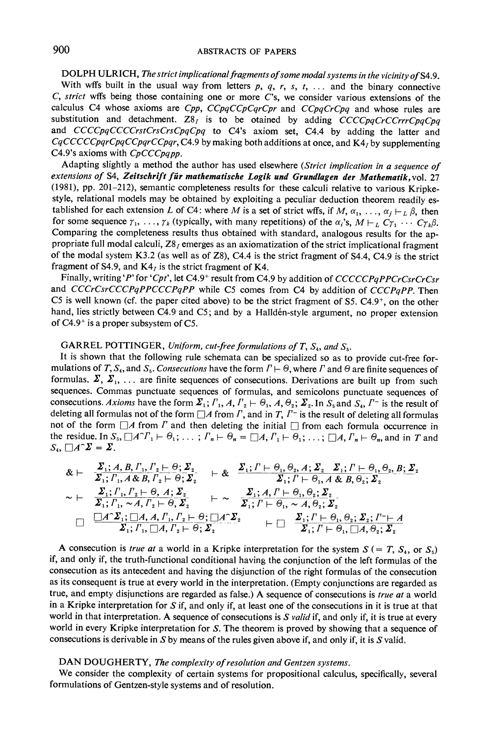**DOLPH ULRICH, The strict implicational fragments of some modal systems in the vicinity of S4.9.** 

With wffs built in the usual way from letters  $p$ ,  $q$ ,  $r$ ,  $s$ ,  $t$ ,  $\ldots$  and the binary connective C, strict wffs being those containing one or more C's, we consider various extensions of the calculus C4 whose axioms are Cpp, CCpqCCpCqrCpr and CCpqCrCpq and whose rules are substitution and detachment.  $Z_0$  is to be otained by adding  $CCCpqCrCCTrCpqCpq$ and CCCCpqCCCCrstCrsCrsCpqCpq to C4's axiom set, C4.4 by adding the latter and  $CqCCCCCpqrCpqCCpqrCCpqr$ , C4.9 by making both additions at once, and  $K4<sub>I</sub>$  by supplementing C4.9's axioms with  $CpCCpqpp$ .  $C_{\tau}$ . Salud Solutions at once, and  $C_{\tau}$  by  $C_{\tau}$  by  $\tau$  and  $\tau$  and  $\tau$  and  $\tau$  and  $\tau$  and  $\tau$  and  $\tau$  and  $\tau$  and  $\tau$  and  $\tau$  and  $\tau$  and  $\tau$  and  $\tau$  and  $\tau$  and  $\tau$  and  $\tau$  and  $\tau$  and  $\tau$  and

**CAULA CAULA CAULA CAULA CAULA CAULA CAULA CAULA CAULA CAULA CAULA CAULA CAULA CAULA CAULA CAULA CAULA CAULA CAU** extensions of S4, Zeitschrift für mathematische Logik und Grundlagen der Mathematik, vol. 27 (1981), pp. 201-212), semantic completeness results for these calculi relative to various Kripkestyle, relational models may be obtained by exploiting a peculiar deduction theorem readily established for each extension L of C4: where M is a set of strict wffs, if M,  $\alpha_1, \ldots, \alpha_j \vdash_L \beta$ , then for some sequence  $\gamma_1, \ldots, \gamma_k$  (typically, with many repetitions) of the  $\alpha_i$ 's,  $M \vdash_L C_{\gamma_1} \cdots C_{\gamma_k} \beta$ . **for Somparing the completeness results thus obtained with standard, analogous results for the ap**propriate full modal calculi,  $Z\delta_l$  emerges as an axiomatization of the strict implicational fragment of the modal system K3.2 (as well as of Z8), C4.4 is the strict fragment of S4.4, C4.9 is the strict fragment of S4.9, and K4<sub>1</sub> is the strict fragment of K4.  $\frac{d}{dx}$  magnetic of  $\frac{d}{dx}$ , and  $\frac{d}{dx}$  is the strict fragment of  $K4$ ,  $\frac{d}{dx}$ ,  $\frac{d}{dx}$ ,  $\frac{d}{dx}$ ,  $\frac{d}{dx}$ ,  $\frac{d}{dx}$ ,  $\frac{d}{dx}$ ,  $\frac{d}{dx}$ ,  $\frac{d}{dx}$ ,  $\frac{d}{dx}$ ,  $\frac{d}{dx}$ ,  $\frac{d}{dx}$ ,  $\frac{d}{dx}$ ,  $\frac{d}{dx}$ ,

**frigment of S4.9, FRAGMENT OF STRICT FRAGMENT OF STRICT STRICT STRICT STRICT STRICT STRICT STRICT STRICT STRICT STRICT STRICT STRICT STRICT STRICT STRICT STRICT STRICT STRICT STRICT STRICT STRICT STRICT STRICT STRICT STR** and CCCrCsrCCCPqPPCCCPqPP while C5 comes from C4 by addition of CCCPqPP. Then C5 is well known (cf. the paper cited above) to be the strict fragment of S5.  $C4.9^+$ , on the other hand, lies strictly between C4.9 and C5; and by a Halldén-style argument, no proper extension of  $C4.9<sup>+</sup>$  is a proper subsystem of  $C5$ .

# GARREL POTTINGER, Uniform, cut-free formulations of T, S<sub>4</sub>, and S<sub>5</sub>.

It is shown that the following rule schemata can be specialized so as to provide cut-free formulations of T,  $S_4$ , and  $S_5$ . Consecutions have the form  $\Gamma \vdash \Theta$ , where  $\Gamma$  and  $\Theta$  are finite sequences of formulas.  $\Sigma$ ,  $\Sigma$ <sub>1</sub>, ... are finite sequences of consecutions. Derivations are built up from such sequences. Commas punctuate sequences of formulas, and semicolons punctuate sequences of consecutions. Axioms have the form  $\Sigma_1$ ;  $\Gamma_1$ ,  $\Lambda$ ,  $\Gamma_2 \vdash \Theta_1$ ,  $\Lambda$ ,  $\Theta_2$ ;  $\Sigma_2$ . In  $S_5$  and  $S_4$ ,  $\Gamma^-$  is the result of deleting all formulas not of the form  $\Box A$  from  $\Gamma$ , and in  $T$ ,  $\Gamma^-$  is the result of deleting all formulas not of the form  $\Box A$  from  $\Gamma$  and then deleting the initial  $\Box$  from each formula occurrence in the residue. In  $S_5$ ,  $\Box A \cap T_1 \vdash \Theta_1$ ; ...;  $\Gamma_n \vdash \Theta_n = \Box A$ ,  $T_1 \vdash \Theta_1$ ; ...;  $\Box A$ ,  $T_n \vdash \Theta_n$ , and in *T* and  $S_4$ ,  $\Box A \cap \Sigma = \Sigma$ .  $S_4, \Box A^{\top} \mathbf{Z} = \mathbf{Z}.$ 

$$
\begin{array}{lcl} \&\vdash & \frac{\Sigma_{1};A,B,\Gamma_{1},\Gamma_{2}\vdash\Theta;\Sigma_{2}}{\Sigma_{1};\Gamma_{1},A\&B,\Gamma_{2}\vdash\Theta;\Sigma_{2}} & \vdash \& & \frac{\Sigma_{1};\Gamma\vdash\Theta_{1},\Theta_{2},A;\Sigma_{2}\otimes\Gamma_{1};\Gamma\vdash\Theta_{1},\Theta_{2},B;\Sigma_{2}}{\Sigma_{1};\Gamma\vdash\Theta_{1},A\&B,\Theta_{2};\Sigma_{2}} \\&\sim\vdash & \frac{\Sigma_{1};\Gamma_{1},\Gamma_{2}\vdash\Theta,A;\Sigma_{2}}{\Sigma_{1};\Gamma_{1},\sim A,\Gamma_{2}\vdash\Theta,\Sigma_{2}} & \vdash \sim & \frac{\Sigma_{1};A,\Gamma\vdash\Theta_{1},\Theta_{2};\Sigma_{2}}{\Sigma_{1};\Gamma\vdash\Theta_{1},\sim A,\Theta_{2};\Sigma_{2}} \\&\Box \frac{\Box A\hat{\Sigma}_{1};\Box A,\overline{A},\Gamma_{1},\Gamma_{2}\vdash\Theta;\Box A\hat{\Sigma}_{2}}{\Sigma_{1};\Gamma_{1},\Box A,\Gamma_{2}\vdash\Theta;\Sigma_{2}} & \vdash \Box & \frac{\Sigma_{1};\Gamma\vdash\Theta_{1},\Theta_{2};\Sigma_{2};\Gamma\vdash A}{\Sigma_{1};\Gamma\vdash\Theta_{1},\Box A,\Theta_{2};\Sigma_{2}} \end{array}
$$

**A** consecution is *true at* a world in a Kripke interpretation for the system  $S = T$ ,  $S_4$ , or  $S_5$ ) if, and only if, the truth-functional conditional having the conjunction of the left formulas of the consecution as its antecedent and having the disjunction of the right formulas of the consecution as its consequent is true at every world in the interpretation. (Empty conjunctions are regarded as true, and empty disjunctions are regarded as false.) A sequence of consecutions is *true at* a world in a Kripke interpretation for S if, and only if, at least one of the consecutions in it is true at that world in that interpretation. A sequence of consecutions is S valid if, and only if, it is true at every world in every Kripke interpretation for S. The theorem is proved by showing that a sequence of consecutions is derivable in S by means of the rules given above if, and only if, it is  $S$  valid.

# DAN DOUGHERTY, The complexity of resolution and Gentzen systems.

We consider the complexity of certain systems for propositional calculus, specifically, several formulations of Gentzen-style systems and of resolution.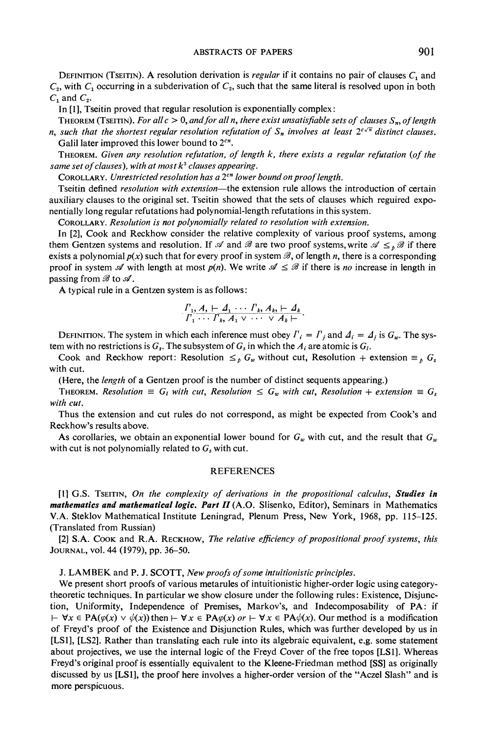DEFINITION (TSEITIN). A resolution derivation is *regular* if it contains no pair of clauses  $C_1$  and  $C_2$ , with  $C_1$  occurring in a subderivation of  $C_2$ , such that the same literal is resolved upon in both  $C_1$  and  $C_2$ .  $C_1$  and  $C_2$ . We are same little in a subderivation of  $C_1$  such that the same literal is resolved upon in both  $\alpha$ 

**C**<sub>1</sub> and C<sub>1</sub>, 15

**THEOREM (TSEITIN).** For all  $c > 0$ , and for all n, there exist unsatisfiable sets of clauses  $S_n$ , of length *n***, such that the shortest regular resolution refutation of**  $S_n$  **involves at least**  $2^{c\sqrt{n}}$  **distinct clauses. Galil later improved this lower bound to**  $2^{cn}$ **.** 

**n, such that the system regular regular regular regular regular regular regular regular regular construction regular for**  $\mathcal{L}$ **Galillah Later instruction is provided to be a** *function***,** *of* same set of clauses), with at most  $k^3$  clauses appearing.

COROLLARY. Unrestricted resolution has a 2<sup>cn</sup> lower bound on proof length.

Tseitin defined *resolution with extension*—the extension rule allows the introduction of certain auxiliary clauses to the original set. Tseitin showed that the sets of clauses which reguired exponentially long regular refutations had polynomial-length refutations in this system.

COROLLARY. Resolution is not polynomially related to resolution with extension.

In [2], Cook and Reckhow consider the relative complexity of various proof systems, among them Gentzen systems and resolution. If  $\mathscr A$  and  $\mathscr B$  are two proof systems, write  $\mathscr A \leq_{\alpha} \mathscr B$  if there exists a polynomial  $p(x)$  such that for every proof in system  $\mathcal{B}$ , of length *n*, there is a corresponding **proof** in system  $\mathcal A$  with length at most  $p(n)$ . We write  $\mathcal A \leq \mathcal B$  if there is *no* increase in length in passing from  $\mathcal B$  to  $\mathcal A$ . **passing from sy to sy.** 

*a* **i** *g* **<b>p c i l i e i i a c** 

$$
\frac{\Gamma_1, A_1 \vdash \Delta_1 \cdots \Gamma_k, A_k \vdash \Delta_k}{\Gamma_1 \cdots \Gamma_k, A_1 \vee \cdots \vee A_k \vdash}
$$

**DEFINITION.** The system in which each inference must obey  $\Gamma_i = \Gamma_i$  and  $\Delta_i = \Delta_i$  is  $G_w$ . The sys**tem with no restrictions is**  $G_s$ **. The subsystem of**  $G_s$  **in which the**  $A_i$  **are atomic is**  $G_i$ **.** 

Cook and Reckhow report: Resolution  $\leq_{p} G_w$  without cut, Resolution + extension  $\equiv_{p} G_s$  with cut.

**Cook and Reckholw Reckhow resolution is the number of distinct sequents appearing.)** 

**THEOREM.** Resolution  $\equiv G_i$  with cut, Resolution  $\leq G_w$  with cut, Resolution  $+$  extension  $\equiv G_s$  with cut. **THEOREM. Resolution -- GI with cut, Resolution < GQ with cut, Resolution + extension --Gs** 

 $\mathbf{u}$  inus t **Thus the extension and cut rules do not consider the expected from Cook's and as might be expected from Cook's and**  $\alpha$ 

**Replace Replace Replace** with cut is not polynomially related to  $G_s$  with cut.

# **with cut is not polynomially related to Gs with cut.**

[1] G.S. TSEITIN, On the complexity of derivations in the propositional calculus, **Studies in** mathematics and mathematical logic. Part II (A.O. Slisenko, Editor), Seminars in Mathematics **V.A. Steklov Mathematical Institute Leningrad, Plenum Press, New York, 1968, pp. 115–125.**<br>(Translated from Russian) **V.A. Stephen Mathematical Institute Leningrad, Plenum Press, New York, 1968, pp. 115-125.** 

 $[2]$  **S.A.** COOK and **K.A. JOURNAL, vol. 44 (1979), pp. 36-50.** 

**J. LAMBEK and P. J. SCOTT, New proofs of some intuitionistic principles.** 

We present short proofs of various metarules of intuitionistic higher-order logic using categorytheoretic techniques. In particular we show closure under the following rules: Existence, Disjunction, Uniformity, Independence of Premises, Markov's, and Indecomposability of PA: if  $\vdash \forall x \in PA(\varphi(x) \lor \psi(x))$  then  $\vdash \forall x \in PA\varphi(x)$  or  $\vdash \forall x \in PA\psi(x)$ . Our method is a modification  $\sigma$  **F** Freyd's proof of the Existence and Disjunction Rules, which was further developed by us in [LS1], [LS2]. Rather than translating each rule into its algebraic equivalent, e.g. some statement about projectives, we use the internal logic of the Freyd Cover of the free topos [LS1]. Whereas Freyd's original proof is essentially equivalent to the Kleene-Friedman method [SS] as originally discussed by us [LS1], the proof here involves a higher-order version of the "Aczel Slash" and is more perspicuous. **discussed by us a higher-order version of the proof here is a higher-order version of the "Accel Slash" and is a**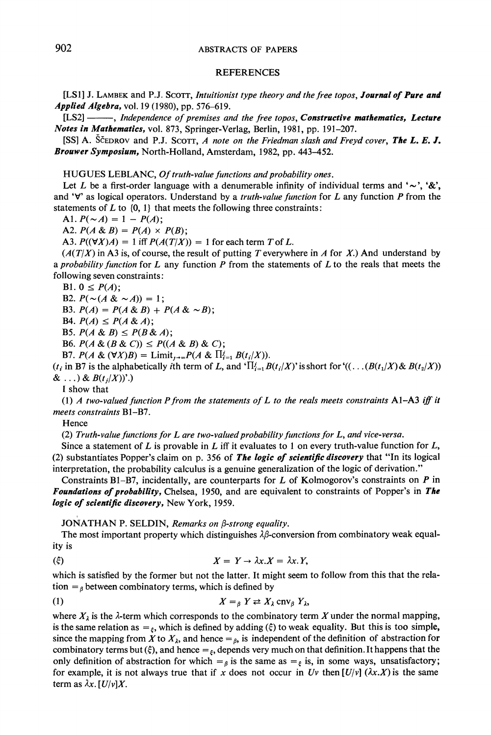# **902 ABSTRACTS OF PAPERS**

[LS1] J. LAMBEK and P.J. SCOTT, Intuitionist type theory and the free topos, **Journal of Pure and phee Algebra,** vol. 19 (1980), pp. 3/6–619.

**Applied Algebra,** *LS2 d***. 19** *a***<sub>g</sub>** *a***<sub>g</sub>** *d***.** *1980***,** *Pp. 56***<sub>19</sub>.** *i* **Notes in Mathematics, vol. 873, Springer-Verlag, Berlin, 1981, pp. 191-207.** 

**[SS] A.** SCEDROV and P.J. SCOTT, A note on the Friedman slash and Freyd cover, **The L. E. J.** Brouwer Symposium, North-Holland, Amsterdam, 1982, pp. 443-452.

HUGUES LEBLANC, Of truth-value functions and probability ones.

Let L be a first-order language with a denumerable infinity of individual terms and ' $\sim$ ', '&', and  $\mathbf{V}'$  as logical operators. Understand by a *truth-value function* for L any function P from the statements of  $L$  to  $\{0, 1\}$  that meets the following three constraints:

A1.  $P(\sim A) = 1 - P(A)$ ;

**A2.**  $P(A \& B) = P(A) \times P(B)$ ;

A3.  $P((\forall X)A) = 1$  iff  $P(A(T|X)) = 1$  for each term T of L.

 $(A(T|X))$  in A3 is, of course, the result of putting T everywhere in A for X. And understand by a *probability function* for L any function P from the statements of L to the reals that meets the following seven constraints:

**following**  $P(A)$ ;

**B2.**  $P(\sim(A \& \sim A)) = 1$ ;

**B3.**  $P(A) = P(A \& B) + P(A \& \sim B);$ 

 $B4. P(A) \leq P(A \& A);$ 

**B5.**  $P(A \& B) \leq P(B \& A);$ 

**B6.**  $P(A \& (B \& C)) \leq P((A \& B) \& C);$ 

**B7.**  $P(A \& (\forall X)B) = \text{Limit}_{t \to \infty} P(A \& \prod_{i=1}^{j} B(t_i|X)).$ 

 $(t_i$  in B7 is the alphabetically *i*th term of *L*, and ' $\Pi_{i=1}^t B(t_i/X)$ ' is short for ' $((\dots(B(t_1/X) \& B(t_i/X)))$ '.<br>  $\& \dots$   $\& B(t_i/X)$ '.  $(\mathbf{x} \dots) \mathbf{\alpha} \mathbf{B}(t_j|\mathbf{\Lambda}))$ .

 $\mathbf{r}$  snow that

**I** show that  $\frac{1}{2}$  is the set of  $\frac{1}{2}$ meets constraints B1-B7.<br>Hence

**mence** 

(2) *Iru*<br>--

Since a statement of L is provable in L iff it evaluates to 1 on every truth-value function for  $L$ , (2) substantiates Popper's claim on p. 356 of **The logic of scientific discovery** that "In its logical interpretation, the probability calculus is a genuine generalization of the logic of derivation."

Constraints B1–B7, incidentally, are counterparts for  $L$  of Kolmogorov's constraints on  $P$  in Foundations of probability, Chelsea, 1950, and are equivalent to constraints of Popper's in The logic of scientific discovery, New York, 1959.

**JONATHAN P. SELDIN, Remarks on β-strong equality.** 

The most important property which distinguishes  $\lambda\beta$ -conversion from combinatory weak equality is **The most important property which distinguishes AP3-conversion from combinatory weak equal-**

 $(\xi)$ 

which is satisfied by the former but not the latter. It might seem to follow from this that the rela- $\phi$  tion  $\phi$ <sub>s</sub> between combinatory terms, which is defined by

$$
(1) \t\t\t X =_{\beta} Y \rightleftarrows X_{\lambda} \text{ cnv}_{\beta} Y_{\lambda},
$$

where  $X_{\lambda}$  is the  $\lambda$ -term which corresponds to the combinatory term X under the normal mapping, is the same relation as  $=$ <sub>5</sub>, which is defined by adding ( $\xi$ ) to weak equality. But this is too simple, since the mapping from X to  $X_{\lambda}$ , and hence  $=\beta$ , is independent of the definition of abstraction for combinatory terms but  $(\xi)$ , and hence  $=\xi$ , depends very much on that definition. It happens that the only definition of abstraction for which  $=_\beta$  is the same as  $=_\xi$  is, in some ways, unsatisfactory; for example, it is not always true that if x does not occur in U<sub>v</sub> then  $[U/\nu]$   $(\lambda x.X)$  is the same term as  $\lambda x$ .  $[U/\nu]X$ . **form as**  $\lambda x. [\mathbf{U}/\mathbf{v}] \mathbf{X}$ **.**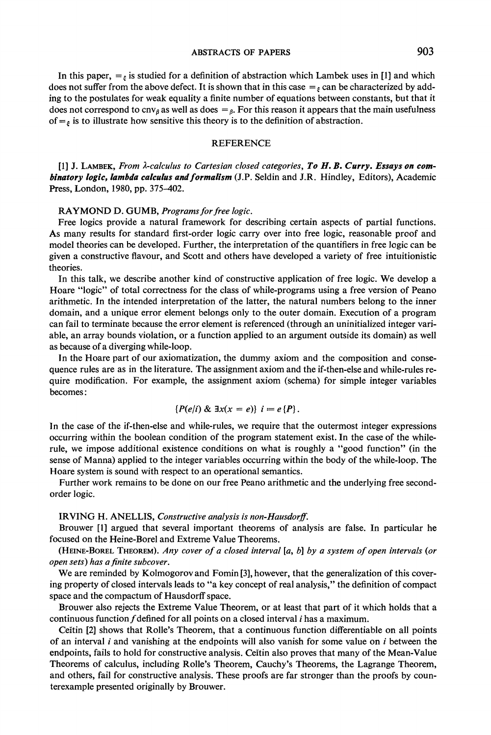# **ABSTRACTS OF PAPERS**

In this paper,  $=\varepsilon$  is studied for a definition of abstraction which Lambek uses in [1] and which does not suffer from the above defect. It is shown that in this case  $=$   $\epsilon$  can be characterized by adding to the postulates for weak equality a finite number of equations between constants, but that it does not correspond to cnv<sub>β</sub> as well as does  $=_{\beta}$ . For this reason it appears that the main usefulness  $\mathbf{d} = \mathbf{\varepsilon}$  is to illustrate how sensitive this theory is to the definition of abstraction.

# **of =e is to illustrate how sensitive this theory is to the definition of abstraction.**

[1] J. LAMBEK, From  $\lambda$ -calculus to Cartesian closed categories, To H. B. Curry. Essays on com**binatory logic, lambda calculus and formalism** (J.P. Seldin and J.R. Hindley, Editors), Academic **Press, London, 1980, pp. 375-402.** 

# **RAYMOND D. GUMB, Programs for free logic.**

Free logics provide a natural framework for describing certain aspects of partial functions. As many results for standard first-order logic carry over into free logic, reasonable proof and model theories can be developed. Further, the interpretation of the quantifiers in free logic can be given a constructive flavour, and Scott and others have developed a variety of free intuitionistic theories. **given a constructive flavour, and Scott and others have developed a variety of free intuitionistic** 

**theories** Hoare "logic" of total correctness for the class of while-programs using a free version of Peano arithmetic. In the intended interpretation of the latter, the natural numbers belong to the inner domain, and a unique error element belongs only to the outer domain. Execution of a program can fail to terminate because the error element is referenced (through an uninitialized integer variable, an array bounds violation, or a function applied to an argument outside its domain) as well as because of a diverging while-loop. as because or a diverging while-loop.<br> $\frac{1}{2}$ 

In the Hoare part of our axiomat quence rules are as in the literature. The assignment axiom and the if-then-else and while-rules require modification. For example, the assignment axiom (schema) for simple integer variables becomes: **pecomes**:

$$
\{P(e|i) \& \exists x(x = e)\} \, i = e\{P\}.
$$

In the case of the if-then-else and while-rules, we require that the outermost integer expressions occurring within the boolean condition of the program statement exist. In the case of the whilerule, we impose additional existence conditions on what is roughly a "good function" (in the sense of Manna) applied to the integer variables occurring within the body of the while-loop. The Hoare system is sound with respect to an operational semantics.

Further work remains to be done on our free Peano arithmetic and the underlying free second-<br>order logic. **Further work remains to be done on our free second-**

### **IRVING H. ANELLIS, Constructive analysis is non-Hausdorff.**

Brouwer [1] argued that several important theorems of analysis are false. In particular he focused on the Heine-Borel and Extreme Value Theorems.

(HEINE-BOREL THEOREM). *Any cover of a closed interval*  $[a, b]$  by a system of open intervals (or open sets) has a finite subcover. **EXECUTER SECONDER SUPPOSE OF A CLOSED INTERVAL EXECUTE IN THE ANGLE INTERVAL EXECUTE IN THE ORIGINAL CLOSED IN** 

**open sets** is the financial or **N**  $\alpha$  **N**  $\alpha$ ing property of closed intervals leads to "a key concept of real analysis," the definition of compact space and the compactum of Hausdorff space.

Brouwer also rejects the Extreme Value Theorem, or at least that part of it which holds that a continuous function f defined for all points on a closed interval *i* has a maximum.

Ceitin [2] shows that Rolle's Theorem, that a continuous function differentiable on all points of an interval  $i$  and vanishing at the endpoints will also vanish for some value on  $i$  between the endpoints, fails to hold for constructive analysis. Ceitin also proves that many of the Mean-Value Theorems of calculus, including Rolle's Theorem, Cauchy's Theorems, the Lagrange Theorem, and others, fail for constructive analysis. These proofs are far stronger than the proofs by counterexample presented originally by Brouwer.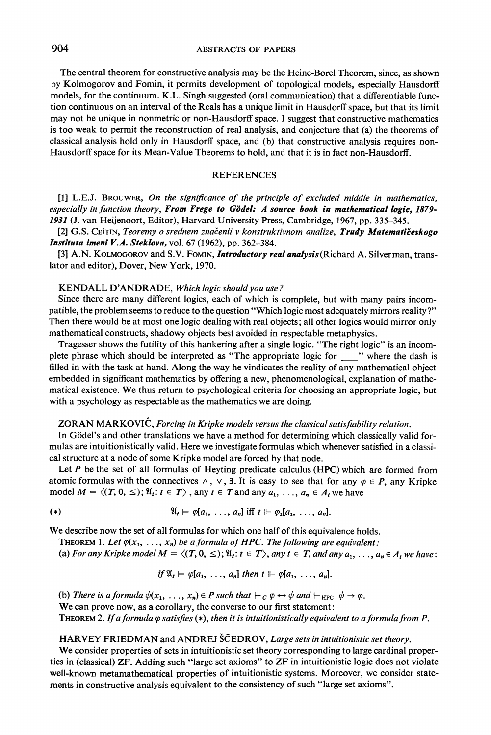### **ABSTRACTS OF PAPERS**

The central theorem for constructive analysis may be the Heine-Borel Theorem, since, as shown by Kolmogorov and Fomin, it permits development of topological models, especially Hausdorff models, for the continuum. K.L. Singh suggested (oral communication) that a differentiable function continuous on an interval of the Reals has a unique limit in Hausdorff space, but that its limit may not be unique in nonmetric or non-Hausdorff space. I suggest that constructive mathematics is too weak to permit the reconstruction of real analysis, and conjecture that (a) the theorems of classical analysis hold only in Hausdorff space, and (b) that constructive analysis requires non-Hausdorff space for its Mean-Value Theorems to hold, and that it is in fact non-Hausdorff.

# **Hausdorff space for its Mean-Value Theorems to hold, and that it is in fact non-Hausdorff.**

[1] L.E.J. BROUWER, On the significance of the principle of excluded middle in mathematics. especially in function theory, From Frege to Gödel: A source book in mathematical logic, 1879-1931 (J. van Heijenoort, Editor), Harvard University Press, Cambridge, 1967, pp. 335–345.

[2] G.S. CEITIN, *Teoremy o srednem značenii v konstruktivnom analize*, **Trudy Matematičeskogo**<br>**Instituta imeni V.A. Steklova, vol.** 67 (1962), pp. 362–384. **START GRAMMER CALCERTING AND ANALY STATES STATES STATES AND ANALY CONSTRUCTED AND ANALY STATES STATES STATES S** 

**I**. A.IN. **N**ULMOGOROV AIIG S. V. FOMIN, **INITOUUCIOFY FE** lator and editor), Dover, New York, 1970.

# **KENDALL D'ANDRADE, Which logic should you use?**

Since there are many different logics, each of which is complete, but with many pairs incompatible, the problem seems to reduce to the question "Which logic most adequately mirrors reality?" Then there would be at most one logic dealing with real objects; all other logics would mirror only mathematical constructs, shadowy objects best avoided in respectable metaphysics.

**Tragesser shows the futility of this hankering after a single logic. "The right logic" is an incom**plete phrase which should be interpreted as "The appropriate logic for " where the dash is filled in with the task at hand. Along the way he vindicates the reality of any mathematical object  $f$  embedded in significant mathematics by offering a new, phenomenological, explanation of mathematical existence. We thus return to psychological criteria for choosing an appropriate logic, but with a psychology as respectable as the mathematics we are doing.

# ZORAN MARKOVIĆ, Forcing in Kripke models versus the classical satisfiability relation.

In Gödel's and other translations we have a method for determining which classically valid formulas are intuitionistically valid. Here we investigate formulas which whenever satisfied in a classical structure at a node of some Kripke model are forced by that node.

Let P be the set of all formulas of Heyting predicate calculus (HPC) which are formed from atomic formulas with the connectives  $\wedge$ ,  $\vee$ , **E**. It is easy to see that for any  $\varphi \in P$ , any Kripke model  $M = \langle (T, 0, \leq) ; \mathfrak{A}_t : t \in T \rangle$ , any  $t \in T$  and any  $a_1, \ldots, a_n \in A_t$  we have

$$
(\ast) \qquad \qquad \mathfrak{A}_t \models \varphi[a_1, \ldots, a_n] \text{ iff } t \models \varphi_1[a_1, \ldots, a_n].
$$

We describe now the set of all formulas for which one half of this equivalence holds.

**THEOREM** 1. Let  $\varphi(x_1, \ldots, x_n)$  be a formula of HPC. The following are equivalent:

**(a)** For any Kripke model  $M = \langle (T, 0, \leq) ; \mathfrak{A}_t : t \in T \rangle$ , any  $t \in T$ , and any  $a_1, \ldots, a_n \in A_t$  we have:

if 
$$
\mathfrak{A}_t \models \varphi[a_1, \ldots, a_n]
$$
 then  $t \models \varphi[a_1, \ldots, a_n]$ .

**(b)** There is a formula  $\psi(x_1, \ldots, x_n) \in P$  such that  $\vdash_C \varphi \leftrightarrow \psi$  and  $\vdash_{HPC} \psi \rightarrow \varphi$ .

**We can prove now, as a corollary, the converse to our first statement:** 

**THEOREM** 2. If a formula  $\varphi$  satisfies  $(*),$  then it is intuitionistically equivalent to a formula from P.

# **HARVEY FRIEDMAN and ANDREJ SCEDROV, Large sets in intuitionistic set theory.**

We consider properties of sets in intuitionistic set theory corresponding to large cardinal properties in (classical) ZF. Adding such "large set axioms" to ZF in intuitionistic logic does not violate well-known metamathematical properties of intuitionistic systems. Moreover, we consider statements in constructive analysis equivalent to the consistency of such "large set axioms".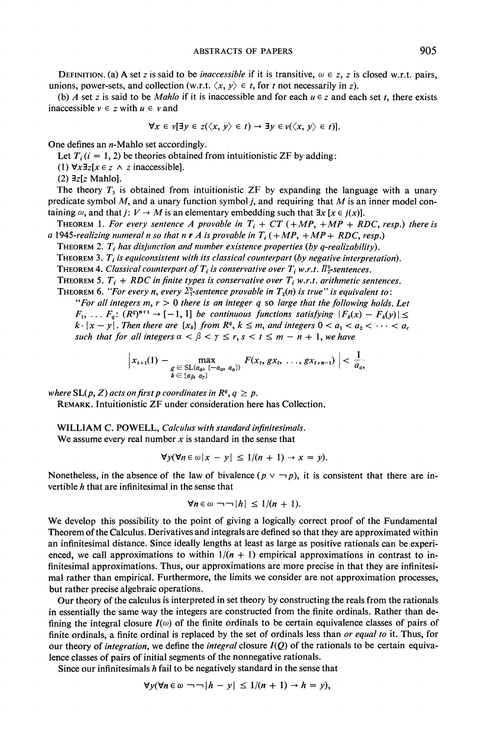**DEFINITION.** (a) A set z is said to be *inaccessible* if it is transitive,  $\omega \in z$ , z is closed w.r.t. pairs, unions, power-sets, and collection (w.r.t.  $\langle x, y \rangle \in t$ , for t not necessarily in z).

(b) A set z is said to be Mahlo if it is inaccessible and for each  $u \in z$  and each set t, there exists **inaccessible**  $v \in z$  with  $u \in v$  and

$$
\forall x \in v[\exists y \in z(\langle x, y \rangle \in t) \rightarrow \exists y \in v(\langle x, y \rangle \in t)]
$$

**One defines an** *n***-Mahlo set accordingly.** 

Let  $T_i$  ( $i = 1, 2$ ) be theories obtained from intuitionistic ZF by adding:

**Let**  $\forall x \exists z [x \in z \land z \text{ inaccessible}]$ **.**<br> **Let**  $\exists z [z \text{ Mahlo}]$ **.** 

**(1) Vx3z[x e z A z inaccessible].** 

 $\frac{1}{2}$  iiic theory  $I_3$  if predicate symbol  $M$ , and a unary function symbol  $j$ , and requiring that  $M$  is an inner model containing  $\omega$ , and that  $j: V \to M$  is an elementary embedding such that  $\exists x [x \in j(x)]$ .

**THEOREM** 1. For every sentence A provable in  $T_i + CT + MP$ ,  $+ MP + RDC$ , resp.) there is a 1945-realizing numeral *n* so that *n* **r** *A* is provable in  $T_i$  (+MP, +MP + RDC, resp.)

**THEOREM 2. T**<sub>i</sub> has disjunction and number existence properties (by q-realizability).

**THEOREM 3.**  $T_i$  is equiconsistent with its classical counterpart (by negative interpretation).

**THEOREM 4. Classical counterpart of**  $T_i$  **is conservative over**  $T_i$  **w.r.t.**  $\Pi_2^0$ **-sentences.** 

**THEOREM 5.**  $T_i$  + RDC in finite types is conservative over  $T_i$  w.r.t. arithmetic sentences.

**THEOREM 6. "For every n, every**  $\Sigma_1^0$ **-sentence provable in**  $T_2(n)$  **is true" is equivalent to:** 

"For all integers  $m, r > 0$  there is an integer q so large that the following holds. Let  $F_1, \ldots, F_q$ :  $(R^q)^{n+1} \rightarrow [-1, 1]$  be continuous functions satisfying  $|F_k(x) - F_k(y)| \le$  $\mathbf{F}[k \cdot | \mathbf{x} - \mathbf{y}]$ . Then there are  $\{x_k\}$  from  $\mathbb{R}^q$ ,  $k \leq m$ , and integers  $0 \leq a_1 \leq a_2 \leq \cdots \leq a_r$ *Such that for all integers* $\alpha < \beta < \gamma \leq r$ **,**  $s < t \leq m - n + 1$ **, we have** 

$$
\left| x_{s+1}(1) - \max_{\substack{g \in \text{SL}(a_{\alpha}, \{-a_{\alpha}, a_{\alpha}\}) \\ k \in [a_{\beta}, a_{\gamma}]}} F(x_s, gx_t, \ldots, gx_{t+n-1}) \right| < \frac{1}{a_{a}},
$$

where  $SL(p, Z)$  acts on first p coordinates in  $R^q, q \geq p$ .

REMARK. Intuitionistic ZF under consideration here has Collection.

**g ( SL(aa, [-aa, aa ])\*|** 

**WILLIAM C. POWELL, Calculus with standard infinitesimals.** We assume every real number  $x$  is standard in the sense that

 $\forall y (\forall n \in \omega | x - y) \leq 1/(n + 1) \rightarrow x = y).$ 

Nonetheless, in the absence of the law of bivalence  $(p \vee \neg p)$ , it is consistent that there are in-**Nonetherence in the sense that is vertible h that are infinitesimal in the sense that** 

$$
\forall n \in \omega \ \neg \neg |h| \leq 1/(n+1).
$$

We develop this possibility to the point of giving a logically correct proof of the Fundamental **Theorem of the Calculus. Derivatives and integrals are defined so that they are approximated within** an infinitesimal distance. Since ideally lengths at least as large as positive rationals can be experienced, we call approximations to within  $1/(n + 1)$  empirical approximations in contrast to infinitesimal approximations. Thus, our approximations are more precise in that they are infinitesimal rather than empirical. Furthermore, the limits we consider are not approximation processes, but rather precise algebraic operations. **but rather precise algebraic operations.** Furthermore, the limits we consider a result of a processes,  $\frac{1}{2}$ 

**but theory of the calculus is lifted pre** in essentially the same way the integers are constructed from the finite ordinals. Rather than defining the integral closure  $I(\omega)$  of the finite ordinals to be certain equivalence classes of pairs of finite ordinals, a finite ordinal is replaced by the set of ordinals less than or equal to it. Thus, for our theory of *integration*, we define the *integral* closure  $I(Q)$  of the rationals to be certain equivalence classes of pairs of initial segments of the nonnegative rationals.

**lence our infinitesimals h fail to be negatively standard in the sense that** 

$$
\forall y(\forall n \in \omega \neg \neg |h - y| \leq 1/(n + 1) \rightarrow h = y),
$$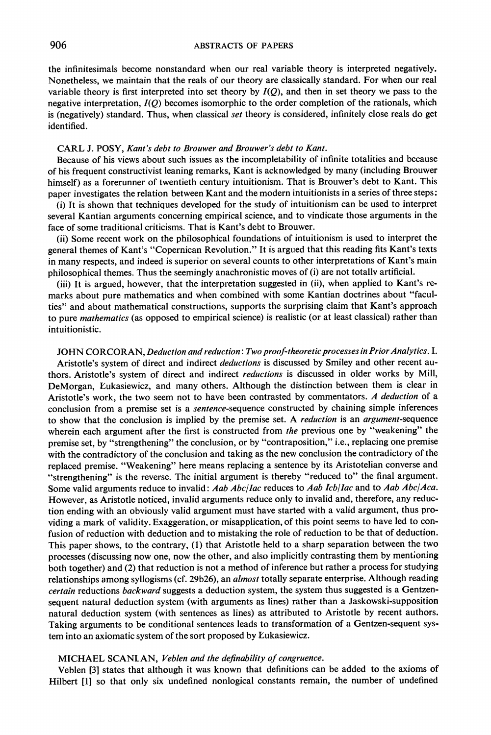the infinitesimals become nonstandard when our real variable theory is interpreted negatively. Nonetheless, we maintain that the reals of our theory are classically standard. For when our real variable theory is first interpreted into set theory by  $I(Q)$ , and then in set theory we pass to the negative interpretation,  $I(Q)$  becomes isomorphic to the order completion of the rationals, which is (negatively) standard. Thus, when classical *set* theory is considered, infinitely close reals do get identified. **is (negative)** standard. Thus, when considered, infinitely considered, infinitely considered, infinitely considered,  $\alpha$ 

#### CARL J. POSY, Kant's debt to Brouwer and Brouwer's debt to Kant.

Because of his views about such issues as the incompletability of infinite totalities and because of his frequent constructivist leaning remarks, Kant is acknowledged by many (including Brouwer himself) as a forerunner of twentieth century intuitionism. That is Brouwer's debt to Kant. This paper investigates the relation between Kant and the modern intuitionists in a series of three steps:

(i) It is shown that techniques developed for the study of intuitionism can be used to interpret several Kantian arguments concerning empirical science, and to vindicate those arguments in the face of some traditional criticisms. That is Kant's debt to Brouwer. race of some traditional criticisms. That is Kant s debt to brouwer, and the *state those arguments in the state those* are  $\frac{1}{2}$ 

**face of some recent work on the philosophical ioundations of intuit** general themes of Kant's "Copernican Revolution." It is argued that this reading fits Kant's texts in many respects, and indeed is superior on several counts to other interpretations of Kant's main philosophical themes. Thus the seemingly anachronistic moves of (i) are not totally artificial.

(iii) It is argued, however, that the interpretation suggested in (ii), when applied to Kant's remarks about pure mathematics and when combined with some Kantian doctrines about "faculties" and about mathematical constructions, supports the surprising claim that Kant's approach to pure *mathematics* (as opposed to empirical science) is realistic (or at least classical) rather than intuitionistic. **to pure mathematics (as opposed to empirical science) is realistic (or at least classical) rather than**  $\alpha$  **is realistic.** 

# **JOHN CORCORAN, Deduction and reduction: Two proof-theoretic processes in Prior Analytics. I.**

Aristotle's system of direct and indirect deductions is discussed by Smiley and other recent authors. Aristotle's system of direct and indirect *reductions* is discussed in older works by Mill, DeMorgan, *Lukasiewicz*, and many others. Although the distinction between them is clear in Aristotle's work, the two seem not to have been contrasted by commentators. A deduction of a conclusion from a premise set is a *sentence*-sequence constructed by chaining simple inferences to show that the conclusion is implied by the premise set. A *reduction* is an *argument*-sequence wherein each argument after the first is constructed from the previous one by "weakening" the premise set, by "strengthening" the conclusion, or by "contraposition," i.e., replacing one premise with the contradictory of the conclusion and taking as the new conclusion the contradictory of the replaced premise. "Weakening" here means replacing a sentence by its Aristotelian converse and "strengthening" is the reverse. The initial argument is thereby "reduced to" the final argument. Some valid arguments reduce to invalid: *Aab Abc/Iac* reduces to *Aab Icb/Iac* and to *Aab Abc/Aca*. However, as Aristotle noticed, invalid arguments reduce only to invalid and, therefore, any reduction ending with an obviously valid argument must have started with a valid argument, thus providing a mark of validity. Exaggeration, or misapplication, of this point seems to have led to confusion of reduction with deduction and to mistaking the role of reduction to be that of deduction. This paper shows, to the contrary, (1) that Aristotle held to a sharp separation between the two processes (discussing now one, now the other, and also implicitly contrasting them by mentioning both together) and (2) that reduction is not a method of inference but rather a process for studying relationships among syllogisms (cf. 29b26), an almost totally separate enterprise. Although reading *certain* reductions *backward* suggests a deduction system, the system thus suggested is a Gentzensequent natural deduction system (with arguments as lines) rather than a Jaskowski-supposition natural deduction system (with sentences as lines) as attributed to Aristotle by recent authors. Taking arguments to be conditional sentences leads to transformation of a Gentzen-sequent system into an axiomatic system of the sort proposed by *Eukasiewicz*.

### **MICHAEL SCANLAN, Veblen and the definability of congruence.**

Veblen [3] states that although it was known that definitions can be added to the axioms of Hilbert [1] so that only six undefined nonlogical constants remain, the number of undefined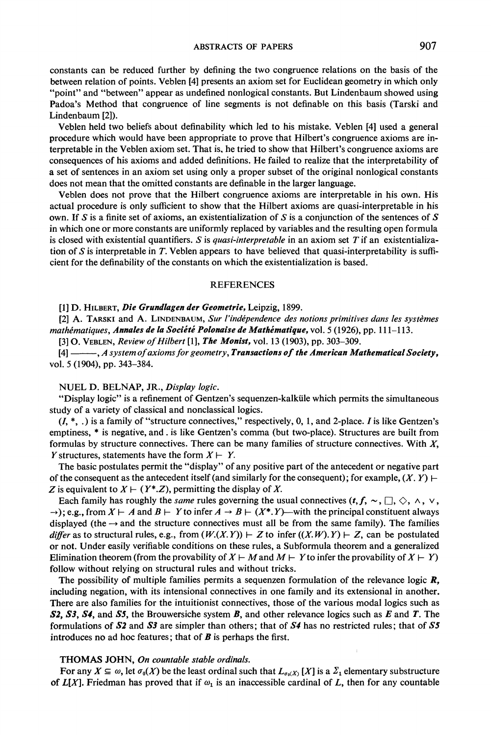constants can be reduced further by defining the two congruence relations on the basis of the between relation of points. Veblen [4] presents an axiom set for Euclidean geometry in which only "boint" and "between" appear as undefined nonlogical constants. But Lindenbaum showed using Padoa's Method that congruence of line segments is not definable on this basis (Tarski and Lindenbaum [2]). **Padoa's Method that congruence of line segments is not definable on this basis (Tarski and** 

**Linder Linder Repleted Linder** procedure which would have been appropriate to prove that Hilbert's congruence axioms are interpretable in the Veblen axiom set. That is, he tried to show that Hilbert's congruence axioms are consequences of his axioms and added definitions. He failed to realize that the interpretability of a set of sentences in an axiom set using only a proper subset of the original nonlogical constants does not mean that the omitted constants are definable in the larger language.

Veblen does not prove that the Hilbert congruence axioms are interpretable in his own. His actual procedure is only sufficient to show that the Hilbert axioms are quasi-interpretable in his own. If S is a finite set of axioms, an existentialization of S is a conjunction of the sentences of S in which one or more constants are uniformly replaced by variables and the resulting open formula is closed with existential quantifiers. S is *quasi-interpretable* in an axiom set T if an existentialization of S is interpretable in T. Veblen appears to have believed that quasi-interpretability is sufficient for the definability of the constants on which the existentialization is based.

# **cient for the definability of the constants on which the existentialization is based.**

[1] D. HILBERT, Die Grundlagen der Geometrie, Leipzig, 1899.

[2] A. TARSKI and A. LINDENBAUM, Sur l'indépendence des notions primitives dans les systèmes *mathématiques, Annales de la Société Polonaise de Mathématique, vol. 5 (1926), pp. 111–113.* 

[3] O. VEBLEN, *Review of Hilbert* [1], **The Monist**, vol. 13 (1903), pp. 303–309.

[4]  $\longrightarrow$ , *A system of axioms for geometry*, **Transactions of the American Mathematical Society**, vol. 5 (1904), pp. 343-384.

#### **NUEL D. BELNAP, JR., Display logic.**

**''Display logic'' is a refinement of Gentzen's sequenzen-kalküle which permits the simultaneous study of a variety of classical and nonclassical logics. EXECUTE IS A REFINEMENT OF GENERAL CONSIDERATION is a reference of the simulation** of the simulation of the simulation of the simulation of the simulation of the simulation of the simulation of the simulation of the sim

 $(1, 1)$  is a rainity of structure connectives, respectively emptiness,  $*$  is negative, and . is like Gentzen's comma (but two-place). Structures are built from formulas by structure connectives. There can be many families of structure connectives. With  $X$ ,  $Y$  structures, statements have the form  $X \vdash Y$ . **f** structures, statements have the form  $A \vdash I$ .

**I** ne basic postulates permit the ausplay of a of the consequent as the antecedent itself (and similarly for the consequent); for example,  $(X, Y)$   $\vdash$ Z is equivalent to  $X \vdash (Y^*.Z)$ , permitting the display of X.

Each family has roughly the *same* rules governing the usual connectives  $(t, f, \sim, \Box, \Diamond, \land, \lor, \Diamond)$  $\rightarrow$ ); e.g., from  $X \vdash A$  and  $B \vdash Y$  to infer  $A \rightarrow B \vdash (X^*.Y)$ —with the principal constituent always displayed (the  $\rightarrow$  and the structure connectives must all be from the same family). The families *differ* as to structural rules, e.g., from  $(W(X,Y)) \vdash Z$  to infer  $((X,W), Y) \vdash Z$ , can be postulated or not. Under easily verifiable conditions on these rules, a Subformula theorem and a generalized Elimination theorem (from the provability of  $X \vdash M$  and  $M \vdash Y$  to infer the provability of  $X \vdash Y$ ) follow without relying on structural rules and without tricks.

The possibility of multiple families permits a sequenzen formulation of the relevance logic **R**, including negation, with its intensional connectives in one family and its extensional in another. There are also families for the intuitionist connectives, those of the various modal logics such as **S2, S3, S4, and S5, the Brouwersiche system B, and other relevance logics such as E and T. The formulations of S2 and S3 are simpler than others; that of S4 has no restricted rules; that of S5** introduces no ad hoc features; that of  $\boldsymbol{B}$  is perhaps the first.

# **THOMAS JOHN, On countable stable ordinals.**

For any  $X \subseteq \omega$ , let  $\sigma_0(X)$  be the least ordinal such that  $L_{\sigma_0(X)}[X]$  is a  $\Sigma_1$  elementary substructure of  $L[X]$ . Friedman has proved that if  $\omega_1$  is an inaccessible cardinal of L, then for any countable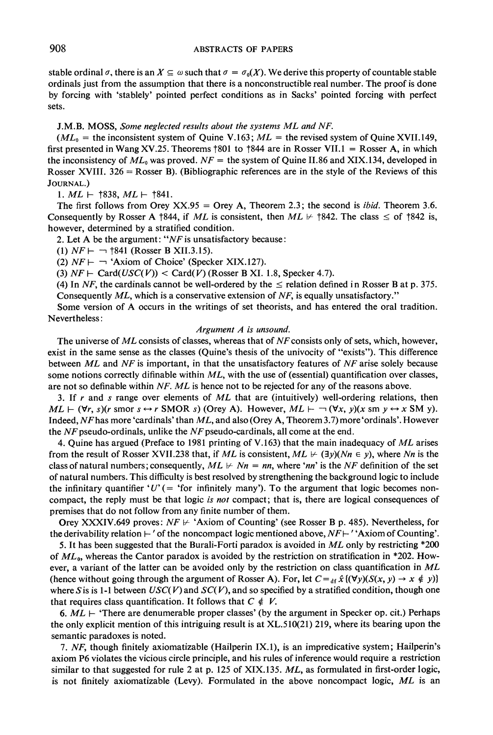stable ordinal  $\sigma$ , there is an  $X \subseteq \omega$  such that  $\sigma = \sigma_0(X)$ . We derive this property of countable stable ordinals just from the assumption that there is a nonconstructible real number. The proof is done by forcing with 'stablely' pointed perfect conditions as in Sacks' pointed forcing with perfect sets.  $\boldsymbol{\delta}$  for  $\boldsymbol{\delta}$  is table as in Sacks' point  $\boldsymbol{\delta}$  in Sacks' points as in Sacks' points.

#### J.M.B. MOSS, Some neglected results about the systems ML and NF.

 $(ML_0 =$  the inconsistent system of Quine V.163;  $ML =$  the revised system of Quine XVII.149, first presented in Wang XV.25. Theorems †801 to †844 are in Rosser VII.1 = Rosser A, in which the inconsistency of  $ML_0$  was proved.  $NF =$  the system of Quine II.86 and XIX.134, developed in first presented in Wang Wang Development and Specific theorems to the area in Rosser and  $\mathcal{L}$  are in  $\mathcal{L}$  and  $\mathcal{L}$  are in  $\mathcal{L}$  and  $\mathcal{L}$  are  $\mathcal{L}$  and  $\mathcal{L}$  are in  $\mathcal{L}$  and  $\mathcal{L}$  are in  $\math$ the inconsistency of the inconsistency of Multiple inconsistency and in the style of the Keviews of this **I J**ournal.)<br>1.  $ML \vdash 1838$ ,  $ML \vdash 1841$ .

The first follows from Orey  $XX.95 =$  Orey A, Theorem 2.3; the second is *ibid*. Theorem 3.6. 1. **1. Married Francisco II 1. Married Francisco I** The first following  $\frac{1}{2}$  or  $\frac{1}{2}$  and  $\frac{1}{2}$  is  $\frac{1}{2}$  and  $\frac{1}{2}$  is  $\frac{1}{2}$  is  $\frac{1}{2}$  is  $\frac{1}{2}$  is  $\frac{1}{2}$  is  $\frac{1}{2}$  is  $\frac{1}{2}$  is  $\frac{1}{2}$  is  $\frac{1}{2}$  is  $\frac{1}{2}$  is  $\frac{1}{2}$  is  $\frac{$ **Consequently by a stratified condition.**<br>**2. Let A be the argument:** "*NF* is unsatisfactory because:

**(1)**  $NF \vdash \neg \uparrow 841$  (Rosser B XII.3.15).

**(2)**  $NF \vdash \neg$  'Axiom of Choice' (Specker XIX.127).

(3)  $NF \vdash \text{Card}(USC(V)) < \text{Card}(V)$  (Rosser B XI. 1.8. Specker 4.7).

(4) In NF, the cardinals cannot be well-ordered by the  $\leq$  relation defined in Rosser B at p. 375. **Consequently ML, which is a conservative extension of NF, is equally unsatisfactory."** 

 $\mathbf{C}_{\text{MM}}$  is  $\mathbf{C}_{\text{MM}}$ , which is a conservative calculation of  $\mathcal{M}$ , is equally unsatisfactory. **Consequently Musical Conservative extension of ACONS** is the Conservative of the Conservative of the Conservative Conservative Conservative Conservative Conservative Conservative Conservative Conservative Conservative Con **Some version of a occurs in the writing of set the writing of set theories**, and  $\boldsymbol{\mu}$ 

**Nevertheless:**   $\overline{A}$  is  $\overline{A}$  is the set of the  $\overline{A}$ exist in the same sense as the classes (Quine's thesis of the univocity of "exists"). This difference between *ML* and *NF* is important, in that the unsatisfactory features of *NF* arise solely because some notions correctly difinable within ML, with the use of (essential) quantification over classes, are not so definable within NF. ML is hence not to be rejected for any of the reasons above.

3. If  $r$  and  $s$  range over elements of  $ML$  that are (intuitively) well-ordering relations, then  $ML \vdash (\forall r, s)(r \text{ smooth } s \leftrightarrow r \text{ SMOR } s)$  (Orey A). However,  $ML \vdash \neg (\forall x, y)(x \text{ sm } y \leftrightarrow x \text{ SM } y)$ .  $\mathbf{J} = \begin{pmatrix} \mathbf{v}_1 & \mathbf{v}_2 & \mathbf{v}_3 & \mathbf{v}_4 & \mathbf{v}_5 & \mathbf{v}_6 & \mathbf{v}_7 & \mathbf{v}_8 & \mathbf{v}_8 & \mathbf{v}_9 & \mathbf{v}_9 & \mathbf{v}_9 & \mathbf{v}_9 & \mathbf{v}_9 & \mathbf{v}_9 & \mathbf{v}_9 & \mathbf{v}_9 & \mathbf{v}_9 & \mathbf{v}_9 & \mathbf{v}_9 & \mathbf{v}_9 & \mathbf{v}_9 & \mathbf{v}_9 & \mathbf{v}_9 & \mathbf{v}_9 & \mathbf{v}_9$  $M_{\rm H}$  **Multiplying Calculuary in all**  $ML$ **, and also (Orey A).** Theorem 3.7 Jinore ordinary. However,  $M_{\rm H}$  and  $M_{\rm H}$  and  $M_{\rm H}$  and  $M_{\rm H}$  and  $M_{\rm H}$ **IE NF** pseudo-ordinals, unlike the NF pseudo-cardinals, all come at the end.<br>4. Quine has argued (Preface to 1981 printing of V.163) that the main inadequacy of *ML* arises

from the result of Rosser XVII.238 that, if ML is consistent,  $ML \nvdash (\exists y)(Nn \in y)$ , where Nn is the class of natural numbers; consequently,  $ML \nvdash Nn = nn$ , where 'nn' is the NF definition of the set  $f_{\rm max}$  is consistent of Rosser XVIII.238 that,  $M_{\rm max}$  is consistent in the state of  $\mu$  is the state of  $\mu$ of natural numbers; consequently, Society, Medicine of Stephening the Set and the locie because the new theory the infinitary quantifier ' $U'$ ' (= 'for infinitely many'). To the argument that logic becomes noncompact, the reply must be that logic *is not* compact; that is, there are logical consequences of premises that do not follow from any finite number of them.

**Orey XXXIV.649 proves:**  $NF \nvdash$  'Axiom of Counting' (see Rosser B p. 485). Nevertheless, for the derivability relation  $\vdash'$  of the noncompact logic mentioned above,  $NF \vdash' 'Axiom$  of Counting'.

5. It has been suggested that the Burali-Forti paradox is avoided in *ML* only by restricting \*200 of  $ML_0$ , whereas the Cantor paradox is avoided by the restriction on stratification in \*202. However, a variant of the latter can be avoided only by the restriction on class quantification in ML (hence without going through the argument of Rosser A). For, let  $C = \{f : \mathcal{X} \{(\forall y)(S(x, y) \rightarrow x \notin y)\}\}$ where S is is 1-1 between  $USC(V)$  and  $SC(V)$ , and so specified by a stratified condition, though one **(hat requires class quantification. It follows that**  $C \notin V$ **.** 

6.  $ML \vdash$  'There are denumerable proper classes' (by the argument in Specker op. cit.) Perhaps  $t_{\rm th}$  requires that the condition of this intriguing result is at VI. **6. ML COMPUTER INCOLUTE ARE DENVELOPED AREA COMPUTER CONTROL** PERSONAL INCOLUTE PROPERTY (CONTROL), WHICH IS COMPUTED APPENDIX ON THE ARGUMENT OF A CONTROL OF A CONTROL OF A CONTROL OF A CONTROL OF A CONTROL OF A CONTROL **the only explicit mention of the only explicit meant is explicant in the property.**<br>T. NF, though finitely axiomatizable (Hailperin IX.1), is an impredicative system; Hailperin's

axiom P6 violates the vicious circle principle, and his rules of inference would require a restriction *NF, though finitely axiomation in the principle, and more construct what the system is an impredication in finite and an impredication in finite and an impredication in finite and an impredication in finite and an impred*  $\frac{1}{2}$  axiom P6 vidates the vicious circle principle principle principles  $\frac{1}{2}$  and  $\frac{1}{2}$  and  $\frac{1}{2}$  and  $\frac{1}{2}$  and  $\frac{1}{2}$  and  $\frac{1}{2}$  and  $\frac{1}{2}$  and  $\frac{1}{2}$  and  $\frac{1}{2}$  and  $\frac{1}{2}$  and  $\frac{$ is not finitely axiomatizable (Levy). Formulated in the above noncompact logic, ML is an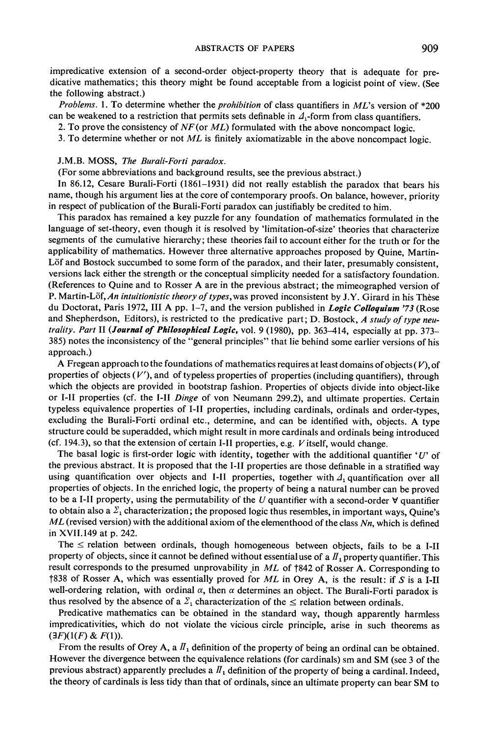impredicative extension of a second-order object-property theory that is adequate for predicative mathematics; this theory might be found acceptable from a logicist point of view. (See the following abstract.) **dicative mathematics; this theory might be found acceptable from a logicist point of view. (See** 

**the following abstract.**  $P$   $\mathbf{v}$  weakend to a restriction that permits sets definable in  $\Delta_1$ -form from class quantifiers.

**can be weakened to a restriction to a restriction to a restriction to a restriction of the sets of the sets of the sets definition of the sets of the sets of the sets of the sets of the sets of the sets of the sets of the** 

**2. To determine whether or not ML** is finitely axiomatizable in the above noncompact logic.

### **J.M.B. MOSS, The Burali-Forti paradox.**

(For some abbreviations and background results, see the previous abstract.)

In 86.12, Cesare Burali-Forti (1861-1931) did not really establish the paradox that bears his name, though his argument lies at the core of contemporary proofs. On balance, however, priority in respect of publication of the Burali-Forti paradox can justifiably be credited to him.

This paradox has remained a key puzzle for any foundation of mathematics formulated in the language of set-theory, even though it is resolved by 'limitation-of-size' theories that characterize segments of the cumulative hierarchy; these theories fail to account either for the truth or for the applicability of mathematics. However three alternative approaches proposed by Quine, Martin-Löf and Bostock succumbed to some form of the paradox, and their later, presumably consistent, versions lack either the strength or the conceptual simplicity needed for a satisfactory foundation.<br>(References to Quine and to Rosser A are in the previous abstract; the mimeographed version of **conceptual strength or the strength or the strength or the conceptual simplicity in the conceptual simplicity of the conceptual simplicity of the strength of the strength of the strength of the strength of the strength of F.** Mattin-Lot, An intuitions to the provide the provide a proved inconsistent by J. Y. Girard in his 1 nese du Doctorat, Paris 1972, III A pp. 1–7, and the version published in *Logic Colloquium* '73 (Rose and Shepherdson, Editors), is restricted to the predicative part; D. Bostock, A study of type neutrality. Part II (Journal of Philosophical Logic, vol. 9 (1980), pp. 363-414, especially at pp. 373-**185)** notes the inconsistency of the "general principles" that lie behind some earlier versions of his approach.) **385) notes the inconsistency of the "general principles" that lie behind some earlier versions of his** 

**approach.)**  properties of objects  $(V')$ , and of typeless properties of properties (including quantifiers), through which the objects are provided in bootstrap fashion. Properties of objects divide into object-like or I-II properties (cf. the I-II *Dinge* of von Neumann 299.2), and ultimate properties. Certain typeless equivalence properties of I-II properties, including cardinals, ordinals and order-types. excluding the Burali-Forti ordinal etc., determine, and can be identified with, objects. A type structure could be superadded, which might result in more cardinals and ordinals being introduced  $(cf. 194.3)$ , so that the extension of certain I-II properties, e.g.  $V$  itself, would change.

The basal logic is first-order logic with identity, together with the additional quantifier 'U' of the previous abstract. It is proposed that the I-II properties are those definable in a stratified way using quantification over objects and I-II properties, together with  $\Delta_1$  quantification over all properties of objects. In the enriched logic, the property of being a natural number can be proved to be a I-II property, using the permutability of the U quantifier with a second-order  $\forall$  quantifier to obtain also a  $\Sigma_1$  characterization; the proposed logic thus resembles, in important ways, Quine's  $ML$  (revised version) with the additional axiom of the elementhood of the class  $Nn$ , which is defined in XVII.149 at  $p. 242$ . **ML (revised version) with the additional axiom of the elementhood of the class Nn, which is defined** 

 $\text{Im} \epsilon \leq \text{Fearion}$  bety property of objects, since it cannot be defined without essential use of a  $I_1$  property quantifier. This result corresponds to the presumed unprovability in ML of 1842 of Rosser A. Corresponding to **†838 of Rosser A, which was essentially proved for ML in Orey A, is the result: if S is a I-II** well-ordering relation, with ordinal  $\alpha$ , then  $\alpha$  determines an object. The Burali-Forti paradox is thus resolved by the absence of a  $\Sigma_1$  characterization of the  $\leq$  relation between ordinals.

Predicative mathematics can be obtained in the standard way, though apparently harmless impredicativities, which do not violate the vicious circle principle, arise in such theorems as  $(3F)(1(F) \& F(1))$ . **impredicativity**  $\alpha$   $\mathbf{r}$  (1).

**(3)(5)** From the results However the divergence between the equivalence relations (for cardinals) sm and SM (see 3 of the previous abstract) apparently precludes a  $I_1$  definition of the property of being a cardinal. Indeed, the theory of cardinals is less tidy than that of ordinals, since an ultimate property can bear SM to